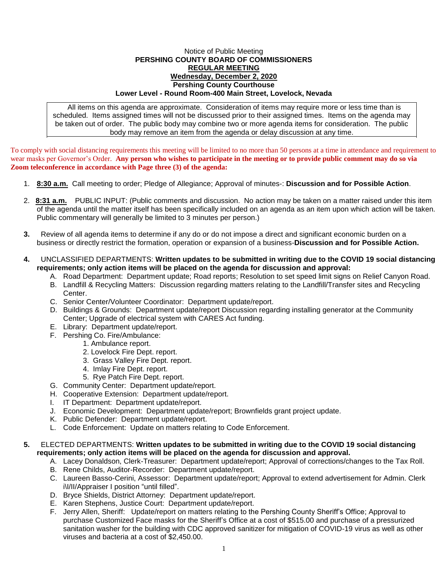## Notice of Public Meeting **PERSHING COUNTY BOARD OF COMMISSIONERS REGULAR MEETING Wednesday, December 2, 2020 Pershing County Courthouse Lower Level - Round Room-400 Main Street, Lovelock, Nevada**

All items on this agenda are approximate. Consideration of items may require more or less time than is scheduled. Items assigned times will not be discussed prior to their assigned times. Items on the agenda may be taken out of order. The public body may combine two or more agenda items for consideration. The public body may remove an item from the agenda or delay discussion at any time.

To comply with social distancing requirements this meeting will be limited to no more than 50 persons at a time in attendance and requirement to wear masks per Governor's Order. **Any person who wishes to participate in the meeting or to provide public comment may do so via Zoom teleconference in accordance with Page three (3) of the agenda:** 

- 1. **8:30 a.m.** Call meeting to order; Pledge of Allegiance; Approval of minutes-: **Discussion and for Possible Action**.
- 2. **8:31 a.m.** PUBLIC INPUT: (Public comments and discussion. No action may be taken on a matter raised under this item of the agenda until the matter itself has been specifically included on an agenda as an item upon which action will be taken. Public commentary will generally be limited to 3 minutes per person.)
- **3.** Review of all agenda items to determine if any do or do not impose a direct and significant economic burden on a business or directly restrict the formation, operation or expansion of a business-**Discussion and for Possible Action.**
- **4.** UNCLASSIFIED DEPARTMENTS: **Written updates to be submitted in writing due to the COVID 19 social distancing requirements; only action items will be placed on the agenda for discussion and approval:**
	- A. Road Department: Department update; Road reports; Resolution to set speed limit signs on Relief Canyon Road.
	- B. Landfill & Recycling Matters: Discussion regarding matters relating to the Landfill/Transfer sites and Recycling Center.
	- C. Senior Center/Volunteer Coordinator: Department update/report.
	- D. Buildings & Grounds: Department update/report Discussion regarding installing generator at the Community Center; Upgrade of electrical system with CARES Act funding.
	- E. Library: Department update/report.
	- F. Pershing Co. Fire/Ambulance:
		- 1. Ambulance report.
			- 2. Lovelock Fire Dept. report.
			- 3. Grass Valley Fire Dept. report.
		- 4. Imlay Fire Dept. report.
		- 5. Rye Patch Fire Dept. report.
	- G. Community Center: Department update/report.
	- H. Cooperative Extension: Department update/report.
	- I. IT Department: Department update/report.
	- J. Economic Development: Department update/report; Brownfields grant project update.
	- K. Public Defender: Department update/report.
	- L. Code Enforcement: Update on matters relating to Code Enforcement.

## **5.** ELECTED DEPARTMENTS: **Written updates to be submitted in writing due to the COVID 19 social distancing requirements; only action items will be placed on the agenda for discussion and approval.**

- A. Lacey Donaldson, Clerk-Treasurer: Department update/report; Approval of corrections/changes to the Tax Roll.
- B. Rene Childs, Auditor-Recorder: Department update/report.
- C. Laureen Basso-Cerini, Assessor: Department update/report; Approval to extend advertisement for Admin. Clerk i\I/II/Appraiser I position "until filled".
- D. Bryce Shields, District Attorney: Department update/report.
- E. Karen Stephens, Justice Court: Department update/report.
- F. Jerry Allen, Sheriff: Update/report on matters relating to the Pershing County Sheriff's Office; Approval to purchase Customized Face masks for the Sheriff's Office at a cost of \$515.00 and purchase of a pressurized sanitation washer for the building with CDC approved sanitizer for mitigation of COVID-19 virus as well as other viruses and bacteria at a cost of \$2,450.00.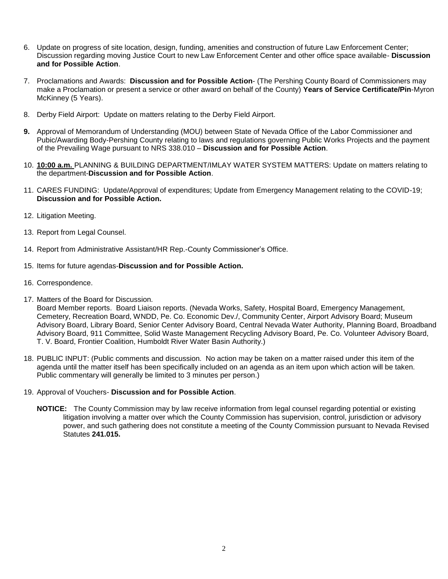- 6. Update on progress of site location, design, funding, amenities and construction of future Law Enforcement Center; Discussion regarding moving Justice Court to new Law Enforcement Center and other office space available- **Discussion and for Possible Action**.
- 7. Proclamations and Awards: **Discussion and for Possible Action** (The Pershing County Board of Commissioners may make a Proclamation or present a service or other award on behalf of the County) **Years of Service Certificate/Pin**-Myron McKinney (5 Years).
- 8. Derby Field Airport: Update on matters relating to the Derby Field Airport.
- **9.** Approval of Memorandum of Understanding (MOU) between State of Nevada Office of the Labor Commissioner and Pubic/Awarding Body-Pershing County relating to laws and regulations governing Public Works Projects and the payment of the Prevailing Wage pursuant to NRS 338.010 – **Discussion and for Possible Action**.
- 10. **10:00 a.m.** PLANNING & BUILDING DEPARTMENT/IMLAY WATER SYSTEM MATTERS: Update on matters relating to the department-**Discussion and for Possible Action**.
- 11. CARES FUNDING: Update/Approval of expenditures; Update from Emergency Management relating to the COVID-19; **Discussion and for Possible Action.**
- 12. Litigation Meeting.
- 13. Report from Legal Counsel.
- 14. Report from Administrative Assistant/HR Rep.-County Commissioner's Office.
- 15. Items for future agendas-**Discussion and for Possible Action.**
- 16. Correspondence.
- 17. Matters of the Board for Discussion.

Board Member reports. Board Liaison reports. (Nevada Works, Safety, Hospital Board, Emergency Management, Cemetery, Recreation Board, WNDD, Pe. Co. Economic Dev./, Community Center, Airport Advisory Board; Museum Advisory Board, Library Board, Senior Center Advisory Board, Central Nevada Water Authority, Planning Board, Broadband Advisory Board, 911 Committee, Solid Waste Management Recycling Advisory Board, Pe. Co. Volunteer Advisory Board, T. V. Board, Frontier Coalition, Humboldt River Water Basin Authority.)

- 18. PUBLIC INPUT: (Public comments and discussion. No action may be taken on a matter raised under this item of the agenda until the matter itself has been specifically included on an agenda as an item upon which action will be taken. Public commentary will generally be limited to 3 minutes per person.)
- 19. Approval of Vouchers- **Discussion and for Possible Action**.
	- **NOTICE:** The County Commission may by law receive information from legal counsel regarding potential or existing litigation involving a matter over which the County Commission has supervision, control, jurisdiction or advisory power, and such gathering does not constitute a meeting of the County Commission pursuant to Nevada Revised Statutes **241.015.**